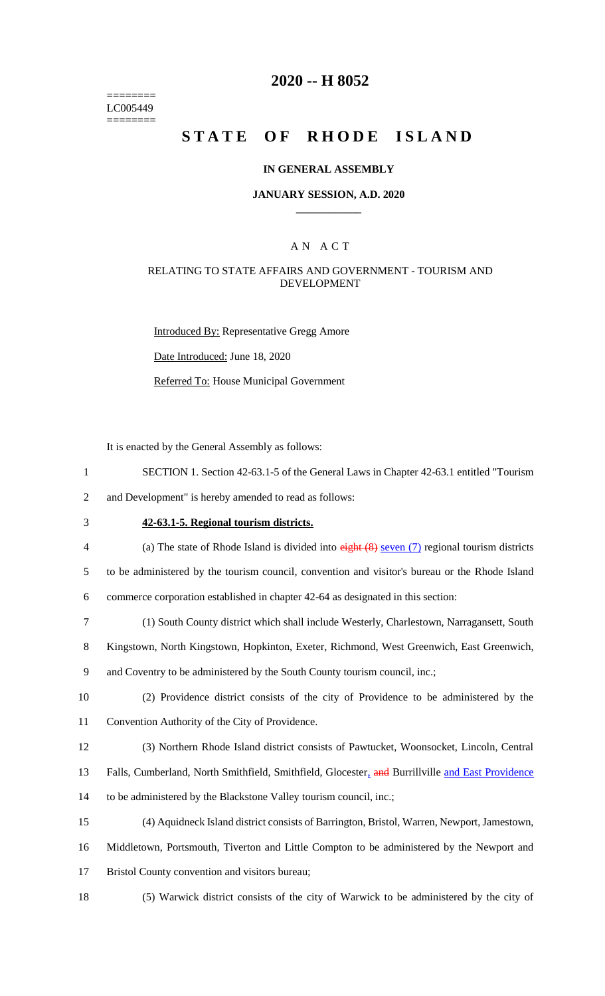======== LC005449 ========

### **2020 -- H 8052**

# **STATE OF RHODE ISLAND**

#### **IN GENERAL ASSEMBLY**

#### **JANUARY SESSION, A.D. 2020 \_\_\_\_\_\_\_\_\_\_\_\_**

### A N A C T

### RELATING TO STATE AFFAIRS AND GOVERNMENT - TOURISM AND DEVELOPMENT

Introduced By: Representative Gregg Amore Date Introduced: June 18, 2020

Referred To: House Municipal Government

It is enacted by the General Assembly as follows:

1 SECTION 1. Section 42-63.1-5 of the General Laws in Chapter 42-63.1 entitled "Tourism

2 and Development" is hereby amended to read as follows:

## 3 **42-63.1-5. Regional tourism districts.**

4 (a) The state of Rhode Island is divided into eight (8) seven (7) regional tourism districts

5 to be administered by the tourism council, convention and visitor's bureau or the Rhode Island 6 commerce corporation established in chapter 42-64 as designated in this section:

- 
- 7 (1) South County district which shall include Westerly, Charlestown, Narragansett, South

8 Kingstown, North Kingstown, Hopkinton, Exeter, Richmond, West Greenwich, East Greenwich,

- 9 and Coventry to be administered by the South County tourism council, inc.;
- 10 (2) Providence district consists of the city of Providence to be administered by the 11 Convention Authority of the City of Providence.
- 12 (3) Northern Rhode Island district consists of Pawtucket, Woonsocket, Lincoln, Central
- 13 Falls, Cumberland, North Smithfield, Smithfield, Glocester, and Burrillville and East Providence
- 14 to be administered by the Blackstone Valley tourism council, inc.;
- 15 (4) Aquidneck Island district consists of Barrington, Bristol, Warren, Newport, Jamestown,
- 16 Middletown, Portsmouth, Tiverton and Little Compton to be administered by the Newport and
- 17 Bristol County convention and visitors bureau;
- 

18 (5) Warwick district consists of the city of Warwick to be administered by the city of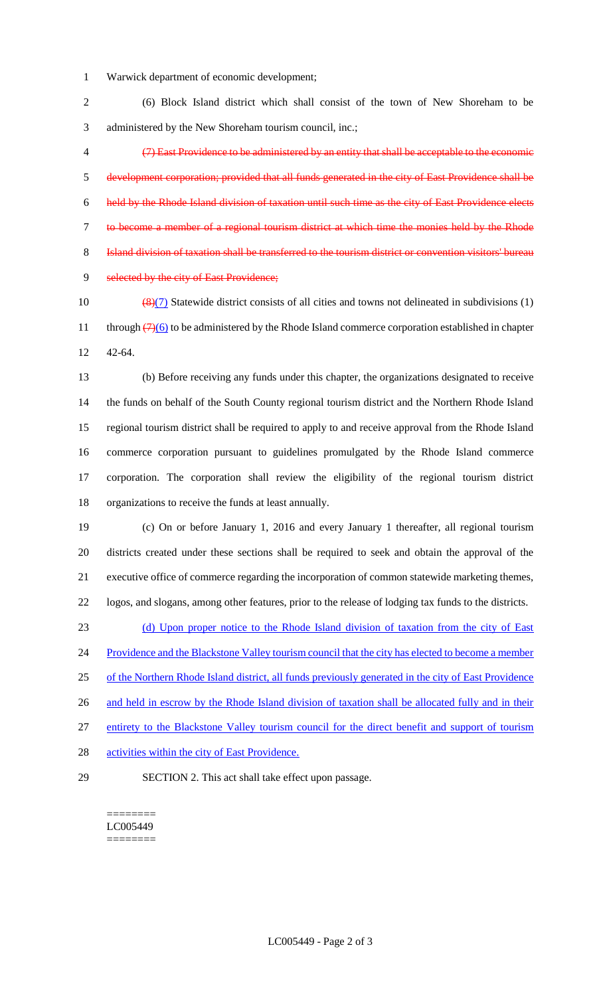- Warwick department of economic development;
- (6) Block Island district which shall consist of the town of New Shoreham to be administered by the New Shoreham tourism council, inc.;
- (7) East Providence to be administered by an entity that shall be acceptable to the economic development corporation; provided that all funds generated in the city of East Providence shall be held by the Rhode Island division of taxation until such time as the city of East Providence elects to become a member of a regional tourism district at which time the monies held by the Rhode Island division of taxation shall be transferred to the tourism district or convention visitors' bureau 9 selected by the city of East Providence;
- 10  $\left(\frac{8}{7}\right)$  Statewide district consists of all cities and towns not delineated in subdivisions (1) 11 through  $\left(\frac{7}{6}\right)$  to be administered by the Rhode Island commerce corporation established in chapter 42-64.

 (b) Before receiving any funds under this chapter, the organizations designated to receive the funds on behalf of the South County regional tourism district and the Northern Rhode Island regional tourism district shall be required to apply to and receive approval from the Rhode Island commerce corporation pursuant to guidelines promulgated by the Rhode Island commerce corporation. The corporation shall review the eligibility of the regional tourism district organizations to receive the funds at least annually.

 (c) On or before January 1, 2016 and every January 1 thereafter, all regional tourism districts created under these sections shall be required to seek and obtain the approval of the executive office of commerce regarding the incorporation of common statewide marketing themes, logos, and slogans, among other features, prior to the release of lodging tax funds to the districts.

 (d) Upon proper notice to the Rhode Island division of taxation from the city of East 24 Providence and the Blackstone Valley tourism council that the city has elected to become a member of the Northern Rhode Island district, all funds previously generated in the city of East Providence 26 and held in escrow by the Rhode Island division of taxation shall be allocated fully and in their entirety to the Blackstone Valley tourism council for the direct benefit and support of tourism

- 28 activities within the city of East Providence.
- 

SECTION 2. This act shall take effect upon passage.

======== LC005449 ========